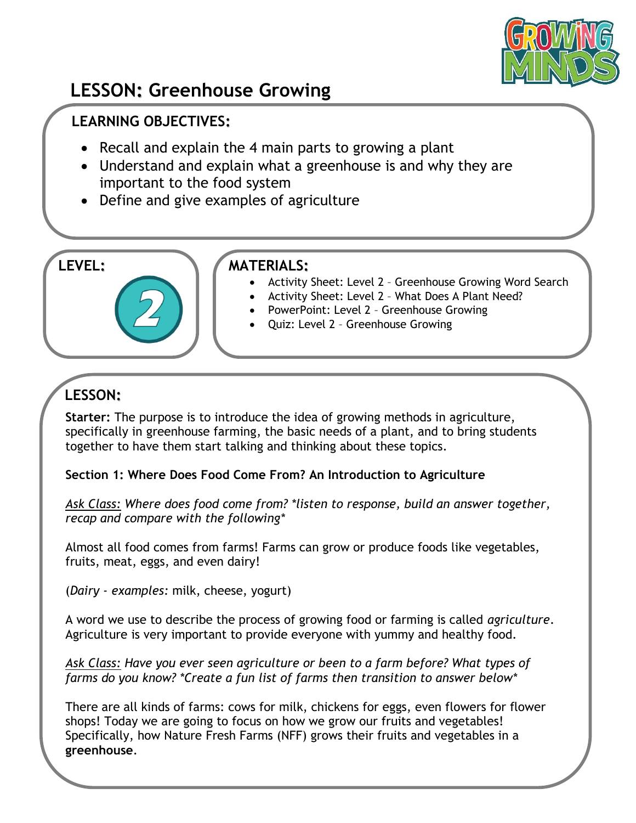

# **LESSON: Greenhouse Growing**

## **LEARNING OBJECTIVES:**

- Recall and explain the 4 main parts to growing a plant
- Understand and explain what a greenhouse is and why they are important to the food system
- Define and give examples of agriculture

#### **LEVEL: MATERIALS:**

- Activity Sheet: Level 2 Greenhouse Growing Word Search
- Activity Sheet: Level 2 What Does A Plant Need?
- PowerPoint: Level 2 Greenhouse Growing
- Quiz: Level 2 Greenhouse Growing

# **LESSON:**

**Starter:** The purpose is to introduce the idea of growing methods in agriculture, specifically in greenhouse farming, the basic needs of a plant, and to bring students together to have them start talking and thinking about these topics.

#### **Section 1: Where Does Food Come From? An Introduction to Agriculture**

*Ask Class: Where does food come from? \*listen to response, build an answer together, recap and compare with the following\**

Almost all food comes from farms! Farms can grow or produce foods like vegetables, fruits, meat, eggs, and even dairy!

(*Dairy - examples:* milk, cheese, yogurt)

A word we use to describe the process of growing food or farming is called *agriculture*. Agriculture is very important to provide everyone with yummy and healthy food.

*Ask Class: Have you ever seen agriculture or been to a farm before? What types of farms do you know? \*Create a fun list of farms then transition to answer below\**

There are all kinds of farms: cows for milk, chickens for eggs, even flowers for flower shops! Today we are going to focus on how we grow our fruits and vegetables! Specifically, how Nature Fresh Farms (NFF) grows their fruits and vegetables in a **greenhouse**.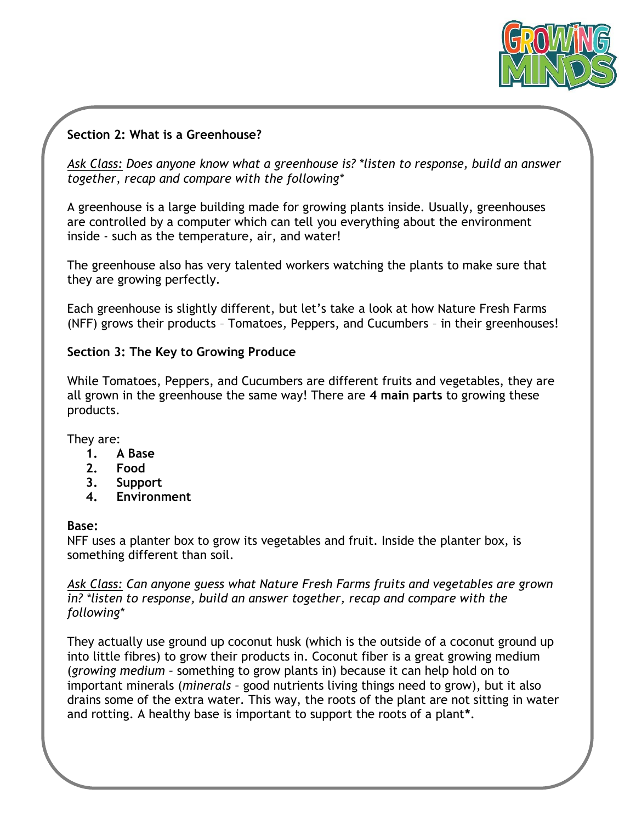

#### **Section 2: What is a Greenhouse?**

*Ask Class: Does anyone know what a greenhouse is? \*listen to response, build an answer together, recap and compare with the following\**

A greenhouse is a large building made for growing plants inside. Usually, greenhouses are controlled by a computer which can tell you everything about the environment inside - such as the temperature, air, and water!

The greenhouse also has very talented workers watching the plants to make sure that they are growing perfectly.

Each greenhouse is slightly different, but let's take a look at how Nature Fresh Farms (NFF) grows their products – Tomatoes, Peppers, and Cucumbers – in their greenhouses!

#### **Section 3: The Key to Growing Produce**

While Tomatoes, Peppers, and Cucumbers are different fruits and vegetables, they are all grown in the greenhouse the same way! There are **4 main parts** to growing these products.

They are:

- **1. A Base**
- **2. Food**
- **3. Support**
- **4. Environment**

#### **Base:**

NFF uses a planter box to grow its vegetables and fruit. Inside the planter box, is something different than soil.

*Ask Class: Can anyone guess what Nature Fresh Farms fruits and vegetables are grown in? \*listen to response, build an answer together, recap and compare with the following\**

They actually use ground up coconut husk (which is the outside of a coconut ground up into little fibres) to grow their products in. Coconut fiber is a great growing medium (*growing medium –* something to grow plants in) because it can help hold on to important minerals (*minerals –* good nutrients living things need to grow), but it also drains some of the extra water. This way, the roots of the plant are not sitting in water and rotting. A healthy base is important to support the roots of a plant**\***.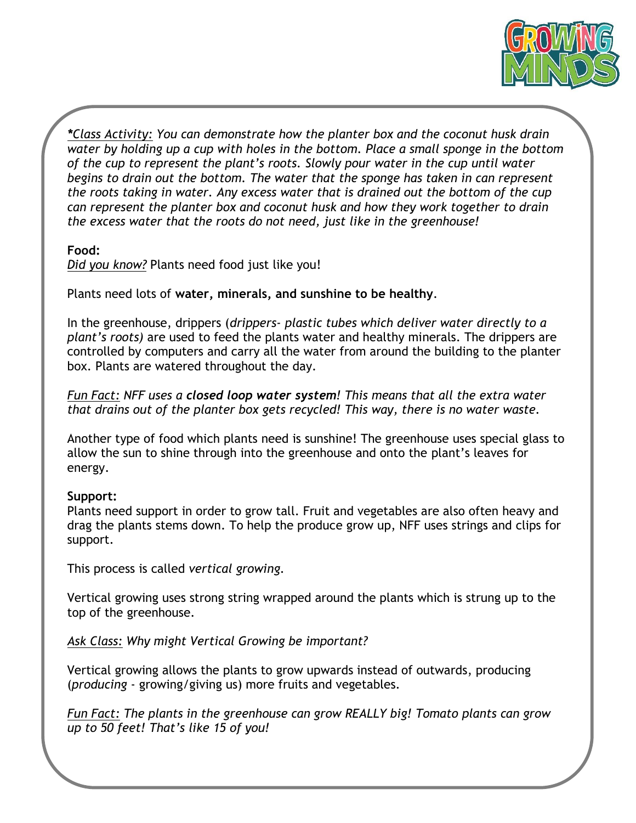

*\*Class Activity: You can demonstrate how the planter box and the coconut husk drain water by holding up a cup with holes in the bottom. Place a small sponge in the bottom of the cup to represent the plant's roots. Slowly pour water in the cup until water begins to drain out the bottom. The water that the sponge has taken in can represent the roots taking in water. Any excess water that is drained out the bottom of the cup can represent the planter box and coconut husk and how they work together to drain the excess water that the roots do not need, just like in the greenhouse!*

#### **Food:**

*Did you know?* Plants need food just like you!

Plants need lots of **water, minerals, and sunshine to be healthy**.

In the greenhouse, drippers (*drippers- plastic tubes which deliver water directly to a plant's roots)* are used to feed the plants water and healthy minerals. The drippers are controlled by computers and carry all the water from around the building to the planter box. Plants are watered throughout the day.

*Fun Fact: NFF uses a closed loop water system! This means that all the extra water that drains out of the planter box gets recycled! This way, there is no water waste.*

Another type of food which plants need is sunshine! The greenhouse uses special glass to allow the sun to shine through into the greenhouse and onto the plant's leaves for energy.

#### **Support:**

Plants need support in order to grow tall. Fruit and vegetables are also often heavy and drag the plants stems down. To help the produce grow up, NFF uses strings and clips for support.

This process is called *vertical growing.*

Vertical growing uses strong string wrapped around the plants which is strung up to the top of the greenhouse.

*Ask Class: Why might Vertical Growing be important?*

Vertical growing allows the plants to grow upwards instead of outwards, producing (*producing* - growing/giving us) more fruits and vegetables.

*Fun Fact: The plants in the greenhouse can grow REALLY big! Tomato plants can grow up to 50 feet! That's like 15 of you!*